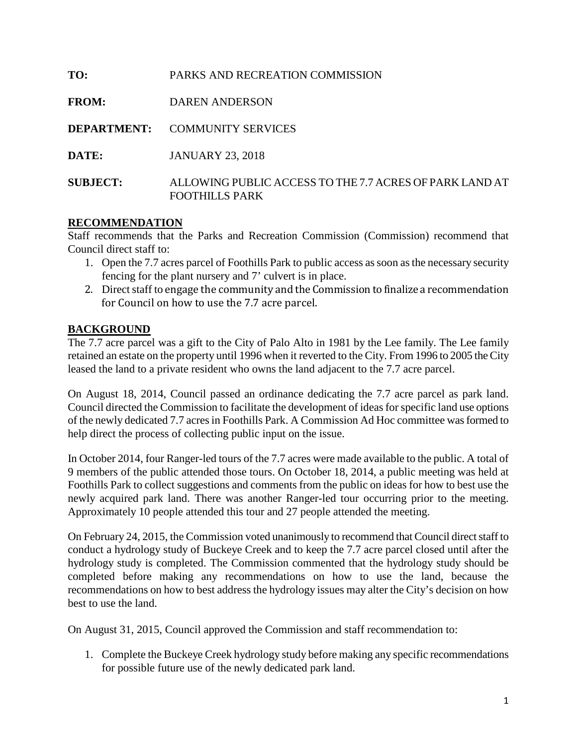| TO:             | PARKS AND RECREATION COMMISSION                                           |
|-----------------|---------------------------------------------------------------------------|
| <b>FROM:</b>    | DAREN ANDERSON                                                            |
|                 | <b>DEPARTMENT: COMMUNITY SERVICES</b>                                     |
| DATE:           | <b>JANUARY 23, 2018</b>                                                   |
| <b>SUBJECT:</b> | ALLOWING PUBLIC ACCESS TO THE 7.7 ACRES OF PARK LAND AT<br>FOOTHILLS PARK |

#### **RECOMMENDATION**

Staff recommends that the Parks and Recreation Commission (Commission) recommend that Council direct staff to:

- 1. Open the 7.7 acres parcel of Foothills Park to public access as soon asthe necessary security fencing for the plant nursery and 7' culvert is in place.
- 2. Direct staff to engage the community and the Commission to finalize a recommendation for Council on how to use the 7.7 acre parcel.

## **BACKGROUND**

The 7.7 acre parcel was a gift to the City of Palo Alto in 1981 by the Lee family. The Lee family retained an estate on the property until 1996 when it reverted to the City. From 1996 to 2005 the City leased the land to a private resident who owns the land adjacent to the 7.7 acre parcel.

On August 18, 2014, Council passed an ordinance dedicating the 7.7 acre parcel as park land. Council directed the Commission to facilitate the development of ideas for specific land use options of the newly dedicated 7.7 acres in Foothills Park. A Commission Ad Hoc committee was formed to help direct the process of collecting public input on the issue.

In October 2014, four Ranger-led tours of the 7.7 acres were made available to the public. A total of 9 members of the public attended those tours. On October 18, 2014, a public meeting was held at Foothills Park to collect suggestions and comments from the public on ideas for how to best use the newly acquired park land. There was another Ranger-led tour occurring prior to the meeting. Approximately 10 people attended this tour and 27 people attended the meeting.

On February 24, 2015, the Commission voted unanimously to recommend that Council direct staff to conduct a hydrology study of Buckeye Creek and to keep the 7.7 acre parcel closed until after the hydrology study is completed. The Commission commented that the hydrology study should be completed before making any recommendations on how to use the land, because the recommendations on how to best address the hydrology issues may alter the City's decision on how best to use the land.

On August 31, 2015, Council approved the Commission and staff recommendation to:

1. Complete the Buckeye Creek hydrology study before making any specific recommendations for possible future use of the newly dedicated park land.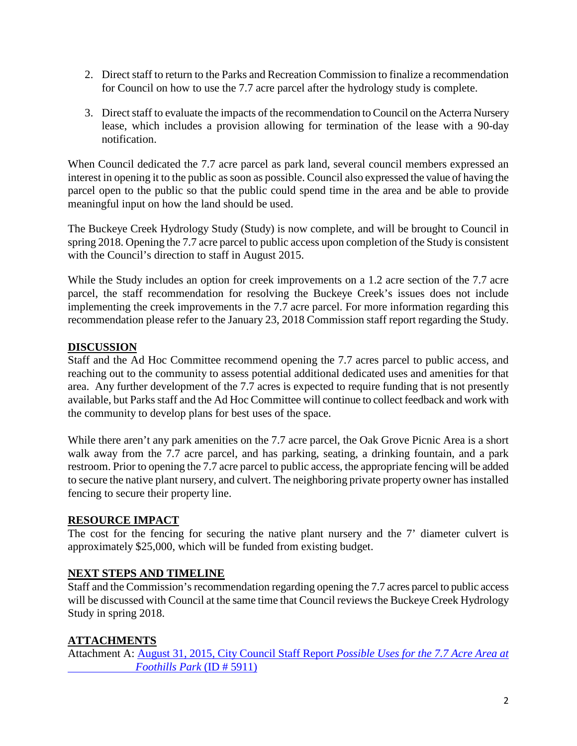- 2. Direct staff to return to the Parks and Recreation Commission to finalize a recommendation for Council on how to use the 7.7 acre parcel after the hydrology study is complete.
- 3. Direct staff to evaluate the impacts of the recommendation to Council on the Acterra Nursery lease, which includes a provision allowing for termination of the lease with a 90-day notification.

When Council dedicated the 7.7 acre parcel as park land, several council members expressed an interest in opening it to the public as soon as possible. Council also expressed the value of having the parcel open to the public so that the public could spend time in the area and be able to provide meaningful input on how the land should be used.

The Buckeye Creek Hydrology Study (Study) is now complete, and will be brought to Council in spring 2018. Opening the 7.7 acre parcel to public access upon completion of the Study is consistent with the Council's direction to staff in August 2015.

While the Study includes an option for creek improvements on a 1.2 acre section of the 7.7 acre parcel, the staff recommendation for resolving the Buckeye Creek's issues does not include implementing the creek improvements in the 7.7 acre parcel. For more information regarding this recommendation please refer to the January 23, 2018 Commission staff report regarding the Study.

## **DISCUSSION**

Staff and the Ad Hoc Committee recommend opening the 7.7 acres parcel to public access, and reaching out to the community to assess potential additional dedicated uses and amenities for that area. Any further development of the 7.7 acres is expected to require funding that is not presently available, but Parks staff and the Ad Hoc Committee will continue to collect feedback and work with the community to develop plans for best uses of the space.

While there aren't any park amenities on the 7.7 acre parcel, the Oak Grove Picnic Area is a short walk away from the 7.7 acre parcel, and has parking, seating, a drinking fountain, and a park restroom. Prior to opening the 7.7 acre parcel to public access, the appropriate fencing will be added to secure the native plant nursery, and culvert. The neighboring private property owner has installed fencing to secure their property line.

## **RESOURCE IMPACT**

The cost for the fencing for securing the native plant nursery and the 7' diameter culvert is approximately \$25,000, which will be funded from existing budget.

## **NEXT STEPS AND TIMELINE**

Staff and the Commission's recommendation regarding opening the 7.7 acres parcel to public access will be discussed with Council at the same time that Council reviews the Buckeye Creek Hydrology Study in spring 2018.

## **ATTACHMENTS**

Attachment A: [August 31, 2015, City Council Staff Report](http://www.cityofpaloalto.org/civicax/filebank/documents/48641) *Possible Uses for the 7.7 Acre Area at  [Foothills Park](http://www.cityofpaloalto.org/civicax/filebank/documents/48641)* (ID # 5911)